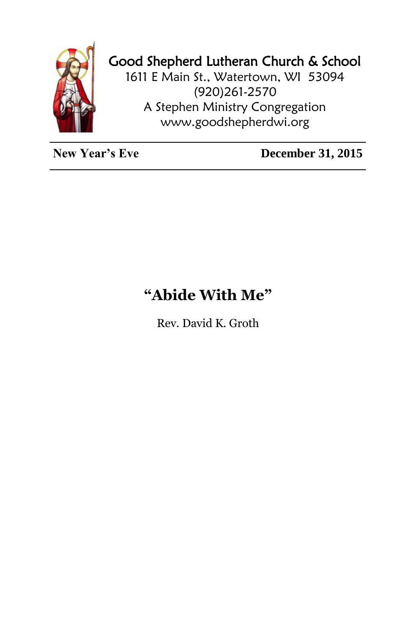

## Good Shepherd Lutheran Church & School

1611 E Main St., Watertown, WI 53094 (920)261-2570 A Stephen Ministry Congregation [www.goodshepherdwi.org](http://www.goodshepherdwi.org/)

**New Year's Eve** December 31, 2015

## **"Abide With Me"**

Rev. David K. Groth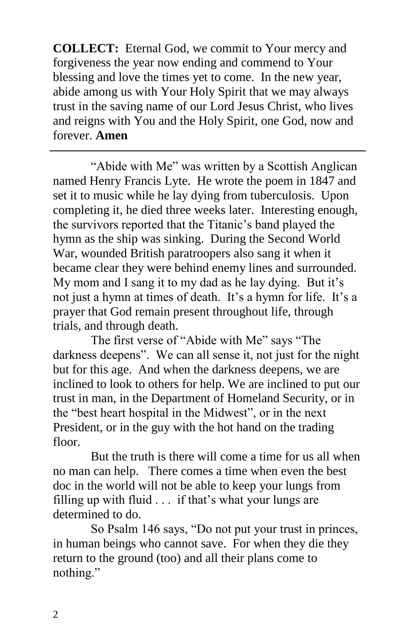**COLLECT:** Eternal God, we commit to Your mercy and forgiveness the year now ending and commend to Your blessing and love the times yet to come. In the new year, abide among us with Your Holy Spirit that we may always trust in the saving name of our Lord Jesus Christ, who lives and reigns with You and the Holy Spirit, one God, now and forever. **Amen**

"Abide with Me" was written by a Scottish Anglican named Henry Francis Lyte. He wrote the poem in 1847 and set it to music while he lay dying from tuberculosis. Upon completing it, he died three weeks later. Interesting enough, the survivors reported that the Titanic's band played the hymn as the ship was sinking. During the Second World War, wounded British paratroopers also sang it when it became clear they were behind enemy lines and surrounded. My mom and I sang it to my dad as he lay dying. But it's not just a hymn at times of death. It's a hymn for life. It's a prayer that God remain present throughout life, through trials, and through death.

The first verse of "Abide with Me" says "The darkness deepens". We can all sense it, not just for the night but for this age. And when the darkness deepens, we are inclined to look to others for help. We are inclined to put our trust in man, in the Department of Homeland Security, or in the "best heart hospital in the Midwest", or in the next President, or in the guy with the hot hand on the trading floor.

But the truth is there will come a time for us all when no man can help. There comes a time when even the best doc in the world will not be able to keep your lungs from filling up with fluid . . . if that's what your lungs are determined to do.

So Psalm 146 says, "Do not put your trust in princes, in human beings who cannot save. For when they die they return to the ground (too) and all their plans come to nothing."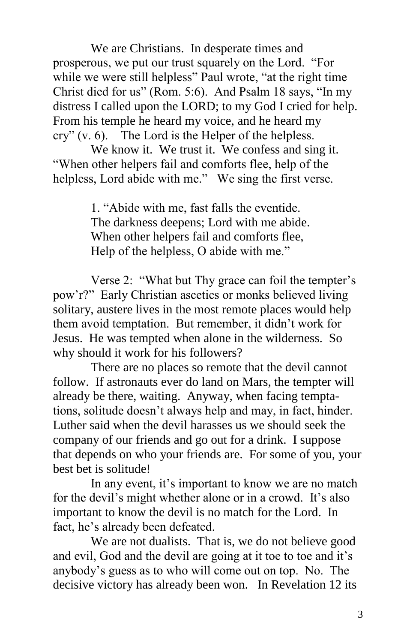We are Christians. In desperate times and prosperous, we put our trust squarely on the Lord. "For while we were still helpless" Paul wrote, "at the right time" Christ died for us" (Rom. 5:6). And Psalm 18 says, "In my distress I called upon the LORD; to my God I cried for help. From his temple he heard my voice, and he heard my cry" (v. 6). The Lord is the Helper of the helpless.

We know it. We trust it. We confess and sing it. "When other helpers fail and comforts flee, help of the helpless, Lord abide with me." We sing the first verse.

> 1. "Abide with me, fast falls the eventide. The darkness deepens; Lord with me abide. When other helpers fail and comforts flee, Help of the helpless, O abide with me."

Verse 2: "What but Thy grace can foil the tempter's pow'r?" Early Christian ascetics or monks believed living solitary, austere lives in the most remote places would help them avoid temptation. But remember, it didn't work for Jesus. He was tempted when alone in the wilderness. So why should it work for his followers?

There are no places so remote that the devil cannot follow. If astronauts ever do land on Mars, the tempter will already be there, waiting. Anyway, when facing temptations, solitude doesn't always help and may, in fact, hinder. Luther said when the devil harasses us we should seek the company of our friends and go out for a drink. I suppose that depends on who your friends are. For some of you, your best bet is solitude!

In any event, it's important to know we are no match for the devil's might whether alone or in a crowd. It's also important to know the devil is no match for the Lord. In fact, he's already been defeated.

We are not dualists. That is, we do not believe good and evil, God and the devil are going at it toe to toe and it's anybody's guess as to who will come out on top. No. The decisive victory has already been won. In Revelation 12 its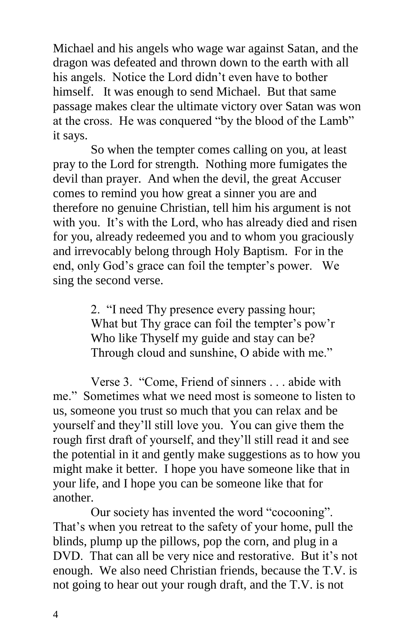Michael and his angels who wage war against Satan, and the dragon was defeated and thrown down to the earth with all his angels. Notice the Lord didn't even have to bother himself. It was enough to send Michael. But that same passage makes clear the ultimate victory over Satan was won at the cross. He was conquered "by the blood of the Lamb" it says.

So when the tempter comes calling on you, at least pray to the Lord for strength. Nothing more fumigates the devil than prayer. And when the devil, the great Accuser comes to remind you how great a sinner you are and therefore no genuine Christian, tell him his argument is not with you. It's with the Lord, who has already died and risen for you, already redeemed you and to whom you graciously and irrevocably belong through Holy Baptism. For in the end, only God's grace can foil the tempter's power. We sing the second verse.

> 2. "I need Thy presence every passing hour; What but Thy grace can foil the tempter's pow'r Who like Thyself my guide and stay can be? Through cloud and sunshine, O abide with me."

Verse 3. "Come, Friend of sinners . . . abide with me." Sometimes what we need most is someone to listen to us, someone you trust so much that you can relax and be yourself and they'll still love you. You can give them the rough first draft of yourself, and they'll still read it and see the potential in it and gently make suggestions as to how you might make it better. I hope you have someone like that in your life, and I hope you can be someone like that for another.

Our society has invented the word "cocooning". That's when you retreat to the safety of your home, pull the blinds, plump up the pillows, pop the corn, and plug in a DVD. That can all be very nice and restorative. But it's not enough. We also need Christian friends, because the T.V. is not going to hear out your rough draft, and the T.V. is not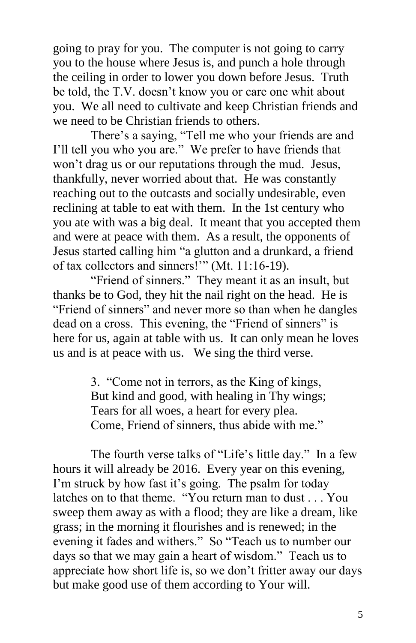going to pray for you. The computer is not going to carry you to the house where Jesus is, and punch a hole through the ceiling in order to lower you down before Jesus. Truth be told, the T.V. doesn't know you or care one whit about you. We all need to cultivate and keep Christian friends and we need to be Christian friends to others.

There's a saying, "Tell me who your friends are and I'll tell you who you are." We prefer to have friends that won't drag us or our reputations through the mud. Jesus, thankfully, never worried about that. He was constantly reaching out to the outcasts and socially undesirable, even reclining at table to eat with them. In the 1st century who you ate with was a big deal. It meant that you accepted them and were at peace with them. As a result, the opponents of Jesus started calling him "a glutton and a drunkard, a friend of tax collectors and sinners!'" (Mt. 11:16-19).

"Friend of sinners." They meant it as an insult, but thanks be to God, they hit the nail right on the head. He is "Friend of sinners" and never more so than when he dangles dead on a cross. This evening, the "Friend of sinners" is here for us, again at table with us. It can only mean he loves us and is at peace with us. We sing the third verse.

> 3. "Come not in terrors, as the King of kings, But kind and good, with healing in Thy wings; Tears for all woes, a heart for every plea. Come, Friend of sinners, thus abide with me."

The fourth verse talks of "Life's little day." In a few hours it will already be 2016. Every year on this evening, I'm struck by how fast it's going. The psalm for today latches on to that theme. "You return man to dust . . . You sweep them away as with a flood; they are like a dream, like grass; in the morning it flourishes and is renewed; in the evening it fades and withers." So "Teach us to number our days so that we may gain a heart of wisdom." Teach us to appreciate how short life is, so we don't fritter away our days but make good use of them according to Your will.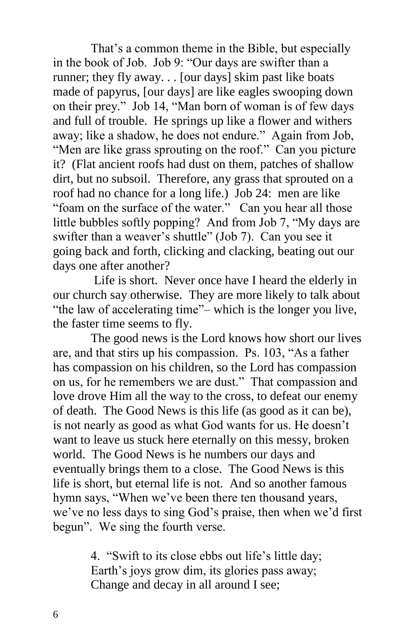That's a common theme in the Bible, but especially in the book of Job. Job 9: "Our days are swifter than a runner; they fly away. . . [our days] skim past like boats made of papyrus, [our days] are like eagles swooping down on their prey." Job 14, "Man born of woman is of few days and full of trouble. He springs up like a flower and withers away; like a shadow, he does not endure." Again from Job, "Men are like grass sprouting on the roof." Can you picture it? (Flat ancient roofs had dust on them, patches of shallow dirt, but no subsoil. Therefore, any grass that sprouted on a roof had no chance for a long life.) Job 24: men are like "foam on the surface of the water." Can you hear all those little bubbles softly popping? And from Job 7, "My days are swifter than a weaver's shuttle" (Job 7). Can you see it going back and forth, clicking and clacking, beating out our days one after another?

Life is short. Never once have I heard the elderly in our church say otherwise. They are more likely to talk about "the law of accelerating time"– which is the longer you live, the faster time seems to fly.

The good news is the Lord knows how short our lives are, and that stirs up his compassion. Ps. 103, "As a father has compassion on his children, so the Lord has compassion on us, for he remembers we are dust." That compassion and love drove Him all the way to the cross, to defeat our enemy of death. The Good News is this life (as good as it can be), is not nearly as good as what God wants for us. He doesn't want to leave us stuck here eternally on this messy, broken world. The Good News is he numbers our days and eventually brings them to a close. The Good News is this life is short, but eternal life is not. And so another famous hymn says, "When we've been there ten thousand years, we've no less days to sing God's praise, then when we'd first begun". We sing the fourth verse.

> 4. "Swift to its close ebbs out life's little day; Earth's joys grow dim, its glories pass away; Change and decay in all around I see;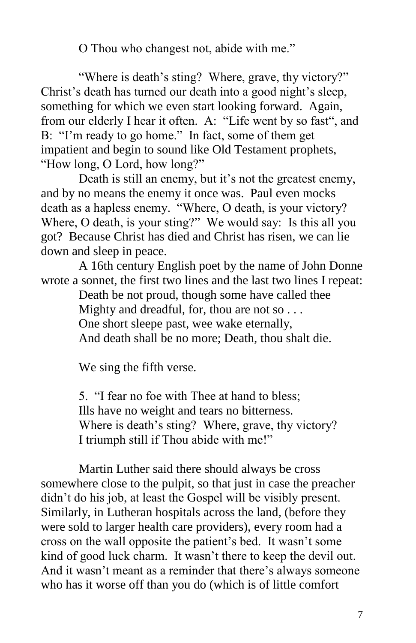O Thou who changest not, abide with me."

"Where is death's sting? Where, grave, thy victory?" Christ's death has turned our death into a good night's sleep, something for which we even start looking forward. Again, from our elderly I hear it often. A: "Life went by so fast", and B: "I'm ready to go home." In fact, some of them get impatient and begin to sound like Old Testament prophets, "How long, O Lord, how long?"

Death is still an enemy, but it's not the greatest enemy, and by no means the enemy it once was. Paul even mocks death as a hapless enemy. "Where, O death, is your victory? Where, O death, is your sting?" We would say: Is this all you got? Because Christ has died and Christ has risen, we can lie down and sleep in peace.

A 16th century English poet by the name of John Donne wrote a sonnet, the first two lines and the last two lines I repeat:

> Death be not proud, though some have called thee Mighty and dreadful, for, thou are not so . . . One short sleepe past, wee wake eternally, And death shall be no more; Death, thou shalt die.

We sing the fifth verse.

5. "I fear no foe with Thee at hand to bless; Ills have no weight and tears no bitterness. Where is death's sting? Where, grave, thy victory? I triumph still if Thou abide with me!"

Martin Luther said there should always be cross somewhere close to the pulpit, so that just in case the preacher didn't do his job, at least the Gospel will be visibly present. Similarly, in Lutheran hospitals across the land, (before they were sold to larger health care providers), every room had a cross on the wall opposite the patient's bed. It wasn't some kind of good luck charm. It wasn't there to keep the devil out. And it wasn't meant as a reminder that there's always someone who has it worse off than you do (which is of little comfort